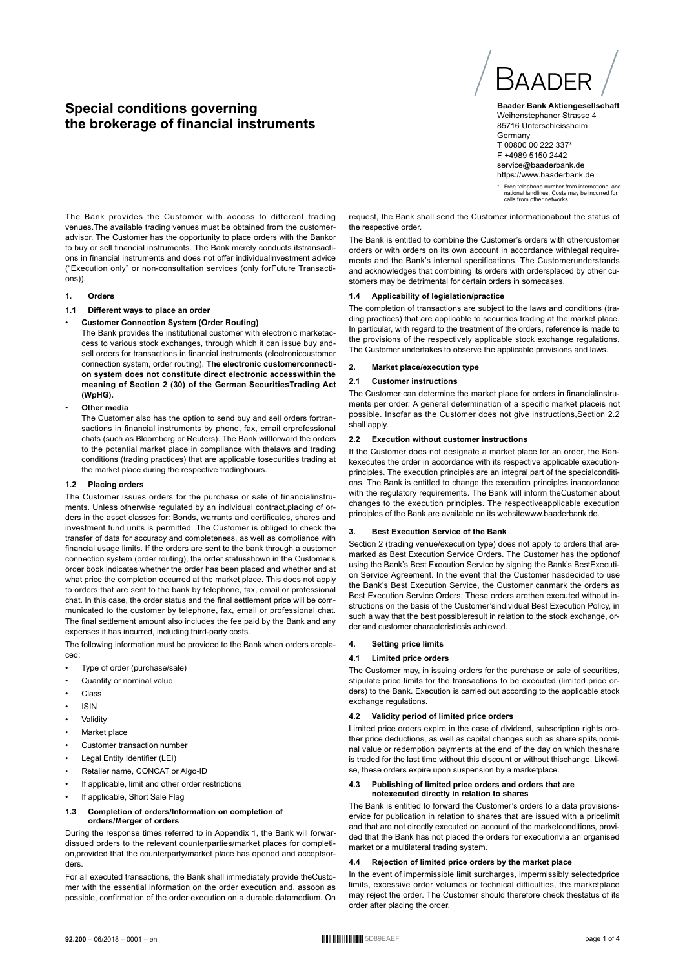# **Special conditions governing the brokerage of financial instruments**



**Baader Bank Aktiengesellschaft** Weihenstephaner Strasse 4 85716 Unterschleissheim **Germany** T 00800 00 222 337\* F +4989 5150 2442 service@baaderbank.de https://www.baaderbank.de

\* Free telephone number from international and national landlines. Costs may be incurred for calls from other networks.

The Bank provides the Customer with access to different trading venues.The available trading venues must be obtained from the customeradvisor. The Customer has the opportunity to place orders with the Bankor to buy or sell financial instruments. The Bank merely conducts itstransactions in financial instruments and does not offer individualinvestment advice ("Execution only" or non-consultation services (only forFuture Transactions)).

### **1. Orders**

# **1.1 Different ways to place an order**

# • **Customer Connection System (Order Routing)**

The Bank provides the institutional customer with electronic marketaccess to various stock exchanges, through which it can issue buy andsell orders for transactions in financial instruments (electroniccustomer connection system, order routing). **The electronic customerconnection system does not constitute direct electronic accesswithin the meaning of Section 2 (30) of the German SecuritiesTrading Act (WpHG).**

### • **Other media**

The Customer also has the option to send buy and sell orders fortransactions in financial instruments by phone, fax, email orprofessional chats (such as Bloomberg or Reuters). The Bank willforward the orders to the potential market place in compliance with thelaws and trading conditions (trading practices) that are applicable tosecurities trading at the market place during the respective tradinghours.

### **1.2 Placing orders**

The Customer issues orders for the purchase or sale of financialinstruments. Unless otherwise regulated by an individual contract,placing of orders in the asset classes for: Bonds, warrants and certificates, shares and investment fund units is permitted. The Customer is obliged to check the transfer of data for accuracy and completeness, as well as compliance with financial usage limits. If the orders are sent to the bank through a customer connection system (order routing), the order statusshown in the Customer's order book indicates whether the order has been placed and whether and at what price the completion occurred at the market place. This does not apply to orders that are sent to the bank by telephone, fax, email or professional chat. In this case, the order status and the final settlement price will be communicated to the customer by telephone, fax, email or professional chat. The final settlement amount also includes the fee paid by the Bank and any expenses it has incurred, including third-party costs.

The following information must be provided to the Bank when orders areplaced:

- Type of order (purchase/sale)
- Quantity or nominal value
- Class
- ISIN
- **Validity**
- Market place
- Customer transaction number
- Legal Entity Identifier (LEI)
- Retailer name, CONCAT or Algo-ID
- If applicable, limit and other order restrictions
- If applicable, Short Sale Flag

### **1.3 Completion of orders/Information on completion of orders/Merger of orders**

During the response times referred to in Appendix 1, the Bank will forwardissued orders to the relevant counterparties/market places for completion,provided that the counterparty/market place has opened and acceptsorders.

For all executed transactions, the Bank shall immediately provide theCustomer with the essential information on the order execution and, assoon as possible, confirmation of the order execution on a durable datamedium. On request, the Bank shall send the Customer informationabout the status of the respective order

The Bank is entitled to combine the Customer's orders with othercustomer orders or with orders on its own account in accordance withlegal requirements and the Bank's internal specifications. The Customerunderstands and acknowledges that combining its orders with ordersplaced by other customers may be detrimental for certain orders in somecases.

# **1.4 Applicability of legislation/practice**

The completion of transactions are subject to the laws and conditions (trading practices) that are applicable to securities trading at the market place. In particular, with regard to the treatment of the orders, reference is made to the provisions of the respectively applicable stock exchange regulations. The Customer undertakes to observe the applicable provisions and laws.

### **2. Market place/execution type**

### **2.1 Customer instructions**

The Customer can determine the market place for orders in financialinstruments per order. A general determination of a specific market placeis not possible. Insofar as the Customer does not give instructions,Section 2.2 shall apply

### **2.2 Execution without customer instructions**

If the Customer does not designate a market place for an order, the Bankexecutes the order in accordance with its respective applicable executionprinciples. The execution principles are an integral part of the specialconditions. The Bank is entitled to change the execution principles inaccordance with the regulatory requirements. The Bank will inform theCustomer about changes to the execution principles. The respectiveapplicable execution principles of the Bank are available on its websitewww.baaderbank.de.

### **3. Best Execution Service of the Bank**

Section 2 (trading venue/execution type) does not apply to orders that aremarked as Best Execution Service Orders. The Customer has the optionof using the Bank's Best Execution Service by signing the Bank's BestExecution Service Agreement. In the event that the Customer hasdecided to use the Bank's Best Execution Service, the Customer canmark the orders as Best Execution Service Orders. These orders arethen executed without instructions on the basis of the Customer'sindividual Best Execution Policy, in such a way that the best possibleresult in relation to the stock exchange, order and customer characteristicsis achieved.

### **4. Setting price limits**

# **4.1 Limited price orders**

The Customer may, in issuing orders for the purchase or sale of securities, stipulate price limits for the transactions to be executed (limited price orders) to the Bank. Execution is carried out according to the applicable stock exchange regulations.

### **4.2 Validity period of limited price orders**

Limited price orders expire in the case of dividend, subscription rights orother price deductions, as well as capital changes such as share splits,nominal value or redemption payments at the end of the day on which theshare is traded for the last time without this discount or without thischange. Likewise, these orders expire upon suspension by a marketplace.

### **4.3 Publishing of limited price orders and orders that are notexecuted directly in relation to shares**

The Bank is entitled to forward the Customer's orders to a data provisionservice for publication in relation to shares that are issued with a pricelimit and that are not directly executed on account of the marketconditions, provided that the Bank has not placed the orders for executionvia an organised market or a multilateral trading system.

# **4.4 Rejection of limited price orders by the market place**

In the event of impermissible limit surcharges, impermissibly selectedprice limits, excessive order volumes or technical difficulties, the marketplace may reject the order. The Customer should therefore check thestatus of its order after placing the order.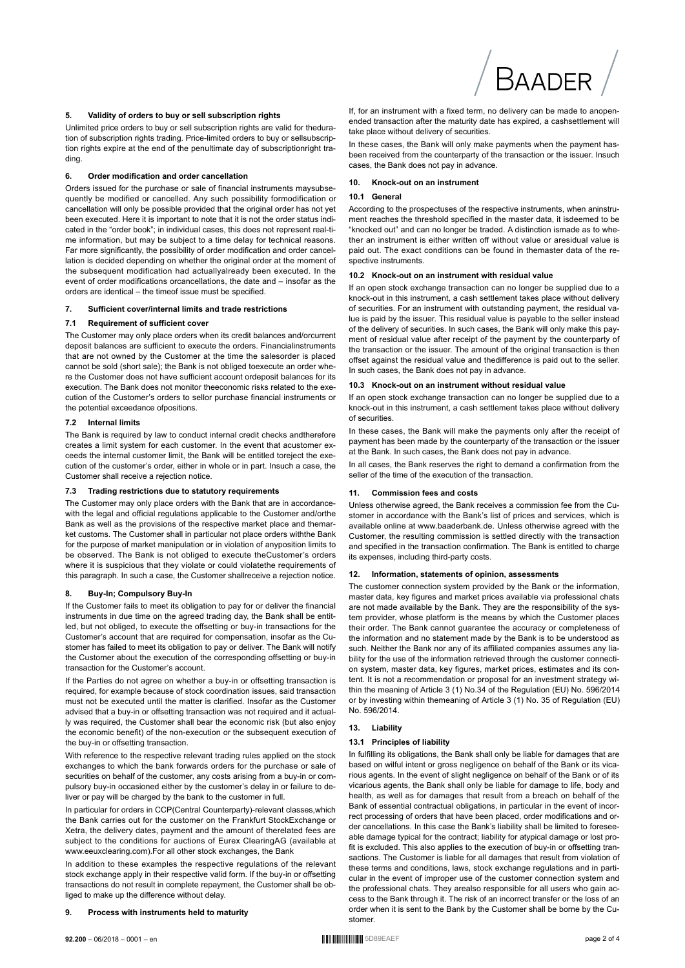

### **5. Validity of orders to buy or sell subscription rights**

Unlimited price orders to buy or sell subscription rights are valid for theduration of subscription rights trading. Price-limited orders to buy or sellsubscription rights expire at the end of the penultimate day of subscriptionright trading.

### **6. Order modification and order cancellation**

Orders issued for the purchase or sale of financial instruments maysubsequently be modified or cancelled. Any such possibility formodification or cancellation will only be possible provided that the original order has not yet been executed. Here it is important to note that it is not the order status indicated in the "order book"; in individual cases, this does not represent real-time information, but may be subject to a time delay for technical reasons. Far more significantly, the possibility of order modification and order cancellation is decided depending on whether the original order at the moment of the subsequent modification had actuallyalready been executed. In the event of order modifications orcancellations, the date and – insofar as the orders are identical – the timeof issue must be specified.

### **7. Sufficient cover/internal limits and trade restrictions**

### **7.1 Requirement of sufficient cover**

The Customer may only place orders when its credit balances and/orcurrent deposit balances are sufficient to execute the orders. Financialinstruments that are not owned by the Customer at the time the salesorder is placed cannot be sold (short sale); the Bank is not obliged toexecute an order where the Customer does not have sufficient account ordeposit balances for its execution. The Bank does not monitor theeconomic risks related to the execution of the Customer's orders to sellor purchase financial instruments or the potential exceedance ofpositions.

# **7.2 Internal limits**

The Bank is required by law to conduct internal credit checks andtherefore creates a limit system for each customer. In the event that acustomer exceeds the internal customer limit, the Bank will be entitled toreject the execution of the customer's order, either in whole or in part. Insuch a case, the Customer shall receive a rejection notice.

### **7.3 Trading restrictions due to statutory requirements**

The Customer may only place orders with the Bank that are in accordancewith the legal and official regulations applicable to the Customer and/orthe Bank as well as the provisions of the respective market place and themarket customs. The Customer shall in particular not place orders withthe Bank for the purpose of market manipulation or in violation of anyposition limits to be observed. The Bank is not obliged to execute theCustomer's orders where it is suspicious that they violate or could violatethe requirements of this paragraph. In such a case, the Customer shallreceive a rejection notice.

### **8. Buy-In; Compulsory Buy-In**

If the Customer fails to meet its obligation to pay for or deliver the financial instruments in due time on the agreed trading day, the Bank shall be entitled, but not obliged, to execute the offsetting or buy-in transactions for the Customer's account that are required for compensation, insofar as the Customer has failed to meet its obligation to pay or deliver. The Bank will notify the Customer about the execution of the corresponding offsetting or buy-in transaction for the Customer's account.

If the Parties do not agree on whether a buy-in or offsetting transaction is required, for example because of stock coordination issues, said transaction must not be executed until the matter is clarified. Insofar as the Customer advised that a buy-in or offsetting transaction was not required and it actually was required, the Customer shall bear the economic risk (but also enjoy the economic benefit) of the non-execution or the subsequent execution of the buy-in or offsetting transaction.

With reference to the respective relevant trading rules applied on the stock exchanges to which the bank forwards orders for the purchase or sale of securities on behalf of the customer, any costs arising from a buy-in or compulsory buy-in occasioned either by the customer's delay in or failure to deliver or pay will be charged by the bank to the customer in full.

In particular for orders in CCP(Central Counterparty)-relevant classes,which the Bank carries out for the customer on the Frankfurt StockExchange or Xetra, the delivery dates, payment and the amount of therelated fees are subject to the conditions for auctions of Eurex ClearingAG (available at www.eeuxclearing.com).For all other stock exchanges, the Bank

In addition to these examples the respective regulations of the relevant stock exchange apply in their respective valid form. If the buy-in or offsetting transactions do not result in complete repayment, the Customer shall be obliged to make up the difference without delay.

# **9. Process with instruments held to maturity**

If, for an instrument with a fixed term, no delivery can be made to anopenended transaction after the maturity date has expired, a cashsettlement will take place without delivery of securities.

In these cases, the Bank will only make payments when the payment hasbeen received from the counterparty of the transaction or the issuer. Insuch cases, the Bank does not pay in advance.

### **10. Knock-out on an instrument**

### **10.1 General**

According to the prospectuses of the respective instruments, when aninstrument reaches the threshold specified in the master data, it isdeemed to be "knocked out" and can no longer be traded. A distinction ismade as to whether an instrument is either written off without value or aresidual value is paid out. The exact conditions can be found in themaster data of the respective instruments.

### **10.2 Knock-out on an instrument with residual value**

If an open stock exchange transaction can no longer be supplied due to a knock-out in this instrument, a cash settlement takes place without delivery of securities. For an instrument with outstanding payment, the residual value is paid by the issuer. This residual value is payable to the seller instead of the delivery of securities. In such cases, the Bank will only make this payment of residual value after receipt of the payment by the counterparty of the transaction or the issuer. The amount of the original transaction is then offset against the residual value and thedifference is paid out to the seller. In such cases, the Bank does not pay in advance.

### **10.3 Knock-out on an instrument without residual value**

If an open stock exchange transaction can no longer be supplied due to a knock-out in this instrument, a cash settlement takes place without delivery of securities.

In these cases, the Bank will make the payments only after the receipt of payment has been made by the counterparty of the transaction or the issuer at the Bank. In such cases, the Bank does not pay in advance.

In all cases, the Bank reserves the right to demand a confirmation from the seller of the time of the execution of the transaction.

### **11. Commission fees and costs**

Unless otherwise agreed, the Bank receives a commission fee from the Customer in accordance with the Bank's list of prices and services, which is available online at www.baaderbank.de. Unless otherwise agreed with the Customer, the resulting commission is settled directly with the transaction and specified in the transaction confirmation. The Bank is entitled to charge its expenses, including third-party costs.

### **12. Information, statements of opinion, assessments**

The customer connection system provided by the Bank or the information, master data, key figures and market prices available via professional chats are not made available by the Bank. They are the responsibility of the system provider, whose platform is the means by which the Customer places their order. The Bank cannot guarantee the accuracy or completeness of the information and no statement made by the Bank is to be understood as such. Neither the Bank nor any of its affiliated companies assumes any liability for the use of the information retrieved through the customer connection system, master data, key figures, market prices, estimates and its content. It is not a recommendation or proposal for an investment strategy within the meaning of Article 3 (1) No.34 of the Regulation (EU) No. 596/2014 or by investing within themeaning of Article 3 (1) No. 35 of Regulation (EU) No. 596/2014.

### **13. Liability**

### **13.1 Principles of liability**

In fulfilling its obligations, the Bank shall only be liable for damages that are based on wilful intent or gross negligence on behalf of the Bank or its vicarious agents. In the event of slight negligence on behalf of the Bank or of its vicarious agents, the Bank shall only be liable for damage to life, body and health, as well as for damages that result from a breach on behalf of the Bank of essential contractual obligations, in particular in the event of incorrect processing of orders that have been placed, order modifications and order cancellations. In this case the Bank's liability shall be limited to foreseeable damage typical for the contract; liability for atypical damage or lost profit is excluded. This also applies to the execution of buy-in or offsetting transactions. The Customer is liable for all damages that result from violation of these terms and conditions, laws, stock exchange regulations and in particular in the event of improper use of the customer connection system and the professional chats. They arealso responsible for all users who gain access to the Bank through it. The risk of an incorrect transfer or the loss of an order when it is sent to the Bank by the Customer shall be borne by the Customer.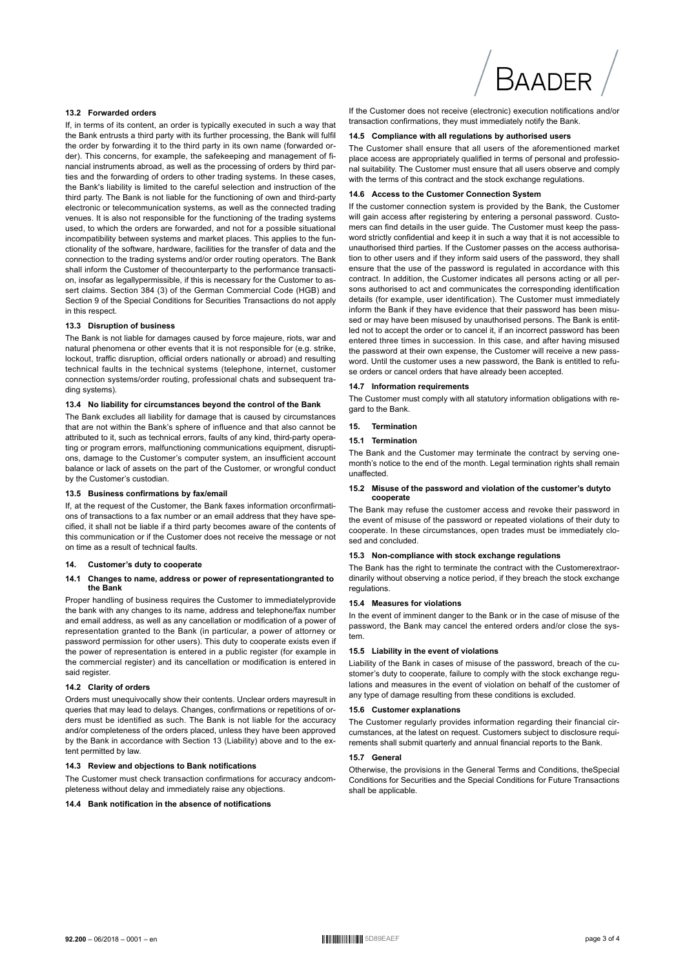# **BAADER**

# **13.2 Forwarded orders**

If, in terms of its content, an order is typically executed in such a way that the Bank entrusts a third party with its further processing, the Bank will fulfil the order by forwarding it to the third party in its own name (forwarded order). This concerns, for example, the safekeeping and management of financial instruments abroad, as well as the processing of orders by third parties and the forwarding of orders to other trading systems. In these cases, the Bank's liability is limited to the careful selection and instruction of the third party. The Bank is not liable for the functioning of own and third-party electronic or telecommunication systems, as well as the connected trading venues. It is also not responsible for the functioning of the trading systems used, to which the orders are forwarded, and not for a possible situational incompatibility between systems and market places. This applies to the functionality of the software, hardware, facilities for the transfer of data and the connection to the trading systems and/or order routing operators. The Bank shall inform the Customer of thecounterparty to the performance transaction, insofar as legallypermissible, if this is necessary for the Customer to assert claims. Section 384 (3) of the German Commercial Code (HGB) and Section 9 of the Special Conditions for Securities Transactions do not apply in this respect.

### **13.3 Disruption of business**

The Bank is not liable for damages caused by force majeure, riots, war and natural phenomena or other events that it is not responsible for (e.g. strike, lockout, traffic disruption, official orders nationally or abroad) and resulting technical faults in the technical systems (telephone, internet, customer connection systems/order routing, professional chats and subsequent trading systems).

# **13.4 No liability for circumstances beyond the control of the Bank**

The Bank excludes all liability for damage that is caused by circumstances that are not within the Bank's sphere of influence and that also cannot be attributed to it, such as technical errors, faults of any kind, third-party operating or program errors, malfunctioning communications equipment, disruptions, damage to the Customer's computer system, an insufficient account balance or lack of assets on the part of the Customer, or wrongful conduct by the Customer's custodian.

### **13.5 Business confirmations by fax/email**

If, at the request of the Customer, the Bank faxes information orconfirmations of transactions to a fax number or an email address that they have specified, it shall not be liable if a third party becomes aware of the contents of this communication or if the Customer does not receive the message or not on time as a result of technical faults.

### **14. Customer's duty to cooperate**

### **14.1 Changes to name, address or power of representationgranted to the Bank**

Proper handling of business requires the Customer to immediatelyprovide the bank with any changes to its name, address and telephone/fax number and email address, as well as any cancellation or modification of a power of representation granted to the Bank (in particular, a power of attorney or password permission for other users). This duty to cooperate exists even if the power of representation is entered in a public register (for example in the commercial register) and its cancellation or modification is entered in said register.

# **14.2 Clarity of orders**

Orders must unequivocally show their contents. Unclear orders mayresult in queries that may lead to delays. Changes, confirmations or repetitions of orders must be identified as such. The Bank is not liable for the accuracy and/or completeness of the orders placed, unless they have been approved by the Bank in accordance with Section 13 (Liability) above and to the extent permitted by law.

### **14.3 Review and objections to Bank notifications**

The Customer must check transaction confirmations for accuracy andcompleteness without delay and immediately raise any objections.

### **14.4 Bank notification in the absence of notifications**

If the Customer does not receive (electronic) execution notifications and/or transaction confirmations, they must immediately notify the Bank.

### **14.5 Compliance with all regulations by authorised users**

The Customer shall ensure that all users of the aforementioned market place access are appropriately qualified in terms of personal and professional suitability. The Customer must ensure that all users observe and comply with the terms of this contract and the stock exchange regulations.

# **14.6 Access to the Customer Connection System**

If the customer connection system is provided by the Bank, the Customer will gain access after registering by entering a personal password. Customers can find details in the user guide. The Customer must keep the password strictly confidential and keep it in such a way that it is not accessible to unauthorised third parties. If the Customer passes on the access authorisation to other users and if they inform said users of the password, they shall ensure that the use of the password is regulated in accordance with this contract. In addition, the Customer indicates all persons acting or all persons authorised to act and communicates the corresponding identification details (for example, user identification). The Customer must immediately inform the Bank if they have evidence that their password has been misused or may have been misused by unauthorised persons. The Bank is entitled not to accept the order or to cancel it, if an incorrect password has been entered three times in succession. In this case, and after having misused the password at their own expense, the Customer will receive a new password. Until the customer uses a new password, the Bank is entitled to refuse orders or cancel orders that have already been accepted.

### **14.7 Information requirements**

The Customer must comply with all statutory information obligations with regard to the Bank.

# **15. Termination**

### **15.1 Termination**

The Bank and the Customer may terminate the contract by serving onemonth's notice to the end of the month. Legal termination rights shall remain unaffected.

### **15.2 Misuse of the password and violation of the customer's dutyto cooperate**

The Bank may refuse the customer access and revoke their password in the event of misuse of the password or repeated violations of their duty to cooperate. In these circumstances, open trades must be immediately closed and concluded.

# **15.3 Non-compliance with stock exchange regulations**

The Bank has the right to terminate the contract with the Customerextraordinarily without observing a notice period, if they breach the stock exchange regulations.

### **15.4 Measures for violations**

In the event of imminent danger to the Bank or in the case of misuse of the password, the Bank may cancel the entered orders and/or close the system.

### **15.5 Liability in the event of violations**

Liability of the Bank in cases of misuse of the password, breach of the customer's duty to cooperate, failure to comply with the stock exchange regulations and measures in the event of violation on behalf of the customer of any type of damage resulting from these conditions is excluded.

# **15.6 Customer explanations**

The Customer regularly provides information regarding their financial circumstances, at the latest on request. Customers subject to disclosure requirements shall submit quarterly and annual financial reports to the Bank.

### **15.7 General**

Otherwise, the provisions in the General Terms and Conditions, theSpecial Conditions for Securities and the Special Conditions for Future Transactions shall be applicable.